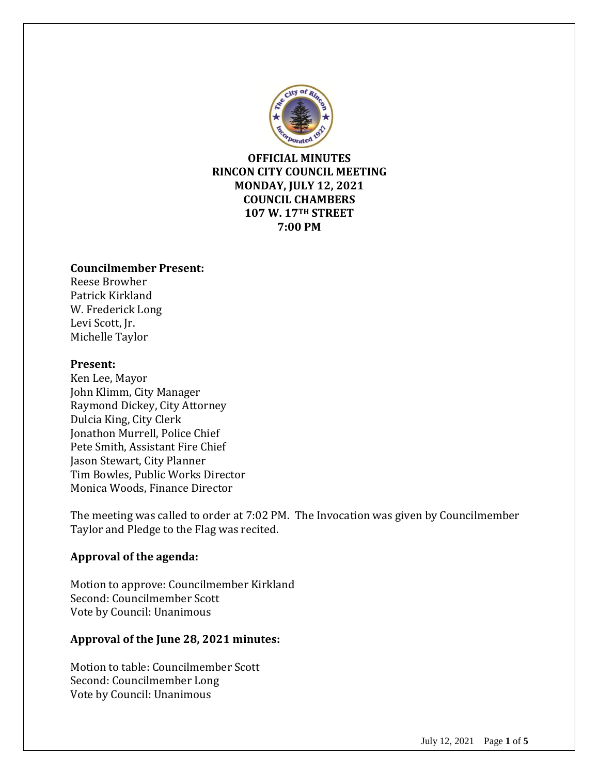

**OFFICIAL MINUTES RINCON CITY COUNCIL MEETING MONDAY, JULY 12, 2021 COUNCIL CHAMBERS 107 W. 17TH STREET 7:00 PM**

#### **Councilmember Present:**

Reese Browher Patrick Kirkland W. Frederick Long Levi Scott, Jr. Michelle Taylor

#### **Present:**

Ken Lee, Mayor John Klimm, City Manager Raymond Dickey, City Attorney Dulcia King, City Clerk Jonathon Murrell, Police Chief Pete Smith, Assistant Fire Chief Jason Stewart, City Planner Tim Bowles, Public Works Director Monica Woods, Finance Director

The meeting was called to order at 7:02 PM. The Invocation was given by Councilmember Taylor and Pledge to the Flag was recited.

#### **Approval of the agenda:**

Motion to approve: Councilmember Kirkland Second: Councilmember Scott Vote by Council: Unanimous

#### **Approval of the June 28, 2021 minutes:**

Motion to table: Councilmember Scott Second: Councilmember Long Vote by Council: Unanimous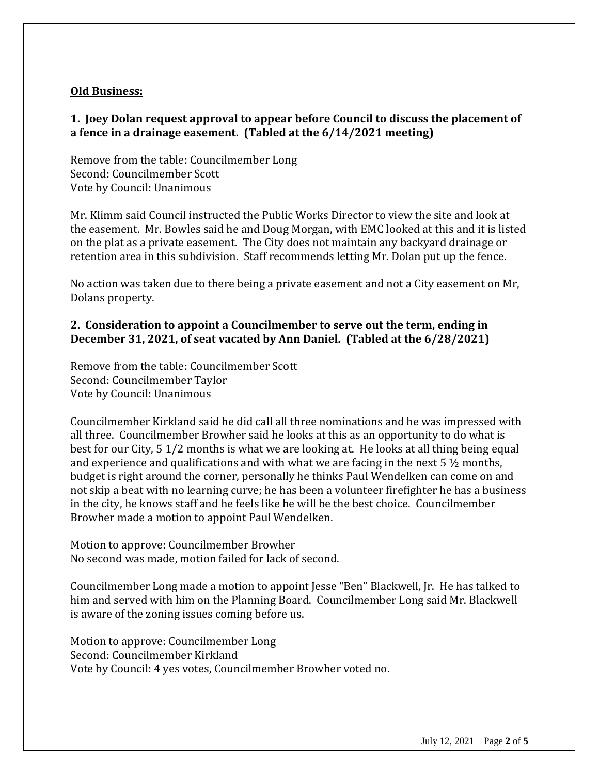### **Old Business:**

## **1. Joey Dolan request approval to appear before Council to discuss the placement of a fence in a drainage easement. (Tabled at the 6/14/2021 meeting)**

Remove from the table: Councilmember Long Second: Councilmember Scott Vote by Council: Unanimous

Mr. Klimm said Council instructed the Public Works Director to view the site and look at the easement. Mr. Bowles said he and Doug Morgan, with EMC looked at this and it is listed on the plat as a private easement. The City does not maintain any backyard drainage or retention area in this subdivision. Staff recommends letting Mr. Dolan put up the fence.

No action was taken due to there being a private easement and not a City easement on Mr, Dolans property.

## **2. Consideration to appoint a Councilmember to serve out the term, ending in December 31, 2021, of seat vacated by Ann Daniel. (Tabled at the 6/28/2021)**

Remove from the table: Councilmember Scott Second: Councilmember Taylor Vote by Council: Unanimous

Councilmember Kirkland said he did call all three nominations and he was impressed with all three. Councilmember Browher said he looks at this as an opportunity to do what is best for our City, 5 1/2 months is what we are looking at. He looks at all thing being equal and experience and qualifications and with what we are facing in the next  $5\frac{1}{2}$  months, budget is right around the corner, personally he thinks Paul Wendelken can come on and not skip a beat with no learning curve; he has been a volunteer firefighter he has a business in the city, he knows staff and he feels like he will be the best choice. Councilmember Browher made a motion to appoint Paul Wendelken.

Motion to approve: Councilmember Browher No second was made, motion failed for lack of second.

Councilmember Long made a motion to appoint Jesse "Ben" Blackwell, Jr. He has talked to him and served with him on the Planning Board. Councilmember Long said Mr. Blackwell is aware of the zoning issues coming before us.

Motion to approve: Councilmember Long Second: Councilmember Kirkland Vote by Council: 4 yes votes, Councilmember Browher voted no.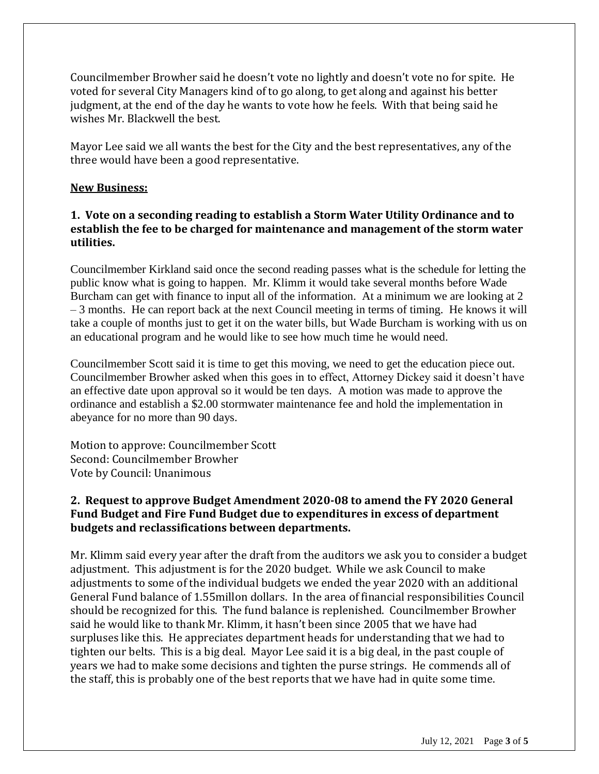Councilmember Browher said he doesn't vote no lightly and doesn't vote no for spite. He voted for several City Managers kind of to go along, to get along and against his better judgment, at the end of the day he wants to vote how he feels. With that being said he wishes Mr. Blackwell the best.

Mayor Lee said we all wants the best for the City and the best representatives, any of the three would have been a good representative.

#### **New Business:**

## **1. Vote on a seconding reading to establish a Storm Water Utility Ordinance and to establish the fee to be charged for maintenance and management of the storm water utilities.**

Councilmember Kirkland said once the second reading passes what is the schedule for letting the public know what is going to happen. Mr. Klimm it would take several months before Wade Burcham can get with finance to input all of the information. At a minimum we are looking at 2 – 3 months. He can report back at the next Council meeting in terms of timing. He knows it will take a couple of months just to get it on the water bills, but Wade Burcham is working with us on an educational program and he would like to see how much time he would need.

Councilmember Scott said it is time to get this moving, we need to get the education piece out. Councilmember Browher asked when this goes in to effect, Attorney Dickey said it doesn't have an effective date upon approval so it would be ten days. A motion was made to approve the ordinance and establish a \$2.00 stormwater maintenance fee and hold the implementation in abeyance for no more than 90 days.

Motion to approve: Councilmember Scott Second: Councilmember Browher Vote by Council: Unanimous

## **2. Request to approve Budget Amendment 2020-08 to amend the FY 2020 General Fund Budget and Fire Fund Budget due to expenditures in excess of department budgets and reclassifications between departments.**

Mr. Klimm said every year after the draft from the auditors we ask you to consider a budget adjustment. This adjustment is for the 2020 budget. While we ask Council to make adjustments to some of the individual budgets we ended the year 2020 with an additional General Fund balance of 1.55millon dollars. In the area of financial responsibilities Council should be recognized for this. The fund balance is replenished. Councilmember Browher said he would like to thank Mr. Klimm, it hasn't been since 2005 that we have had surpluses like this. He appreciates department heads for understanding that we had to tighten our belts. This is a big deal. Mayor Lee said it is a big deal, in the past couple of years we had to make some decisions and tighten the purse strings. He commends all of the staff, this is probably one of the best reports that we have had in quite some time.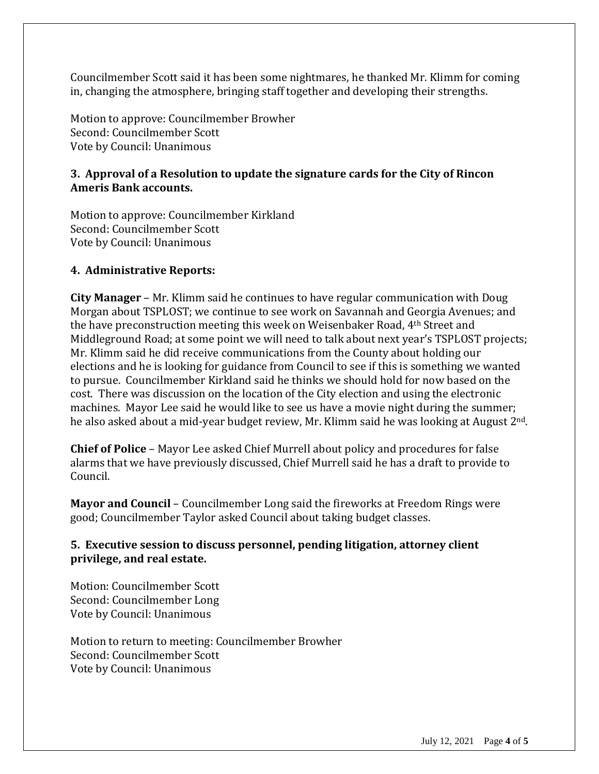Councilmember Scott said it has been some nightmares, he thanked Mr. Klimm for coming in, changing the atmosphere, bringing staff together and developing their strengths.

Motion to approve: Councilmember Browher Second: Councilmember Scott Vote by Council: Unanimous

### **3. Approval of a Resolution to update the signature cards for the City of Rincon Ameris Bank accounts.**

Motion to approve: Councilmember Kirkland Second: Councilmember Scott Vote by Council: Unanimous

#### **4. Administrative Reports:**

**City Manager** – Mr. Klimm said he continues to have regular communication with Doug Morgan about TSPLOST; we continue to see work on Savannah and Georgia Avenues; and the have preconstruction meeting this week on Weisenbaker Road, 4th Street and Middleground Road; at some point we will need to talk about next year's TSPLOST projects; Mr. Klimm said he did receive communications from the County about holding our elections and he is looking for guidance from Council to see if this is something we wanted to pursue. Councilmember Kirkland said he thinks we should hold for now based on the cost. There was discussion on the location of the City election and using the electronic machines. Mayor Lee said he would like to see us have a movie night during the summer; he also asked about a mid-year budget review, Mr. Klimm said he was looking at August 2nd.

**Chief of Police** – Mayor Lee asked Chief Murrell about policy and procedures for false alarms that we have previously discussed, Chief Murrell said he has a draft to provide to Council.

**Mayor and Council** – Councilmember Long said the fireworks at Freedom Rings were good; Councilmember Taylor asked Council about taking budget classes.

## **5. Executive session to discuss personnel, pending litigation, attorney client privilege, and real estate.**

Motion: Councilmember Scott Second: Councilmember Long Vote by Council: Unanimous

Motion to return to meeting: Councilmember Browher Second: Councilmember Scott Vote by Council: Unanimous